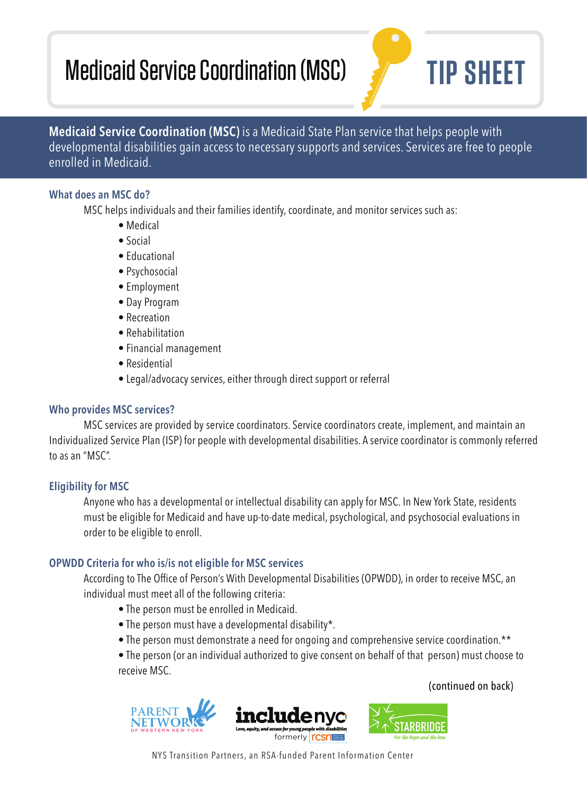# Medicaid Service Coordination (MSC) **TIP SHEET**

**Medicaid Service Coordination (MSC)** is a Medicaid State Plan service that helps people with developmental disabilities gain access to necessary supports and services. Services are free to people enrolled in Medicaid.

# **What does an MSC do?**

MSC helps individuals and their families identify, coordinate, and monitor services such as:

- Medical
- Social
- Educational
- Psychosocial
- Employment
- Day Program
- Recreation
- Rehabilitation
- Financial management
- Residential
- Legal/advocacy services, either through direct support or referral

# **Who provides MSC services?**

 MSC services are provided by service coordinators. Service coordinators create, implement, and maintain an Individualized Service Plan (ISP) for people with developmental disabilities. A service coordinator is commonly referred to as an "MSC".

# **Eligibility for MSC**

 Anyone who has a developmental or intellectual disability can apply for MSC. In New York State, residents must be eligible for Medicaid and have up-to-date medical, psychological, and psychosocial evaluations in order to be eligible to enroll.

# **OPWDD Criteria for who is/is not eligible for MSC services**

According to The Office of Person's With Developmental Disabilities (OPWDD), in order to receive MSC, an individual must meet all of the following criteria:

- The person must be enrolled in Medicaid.
- The person must have a developmental disability\*.
- The person must demonstrate a need for ongoing and comprehensive service coordination.\*\*

 • The person (or an individual authorized to give consent on behalf of that person) must choose to receive MSC.





(continued on back)

NYS Transition Partners, an RSA-funded Parent Information Center